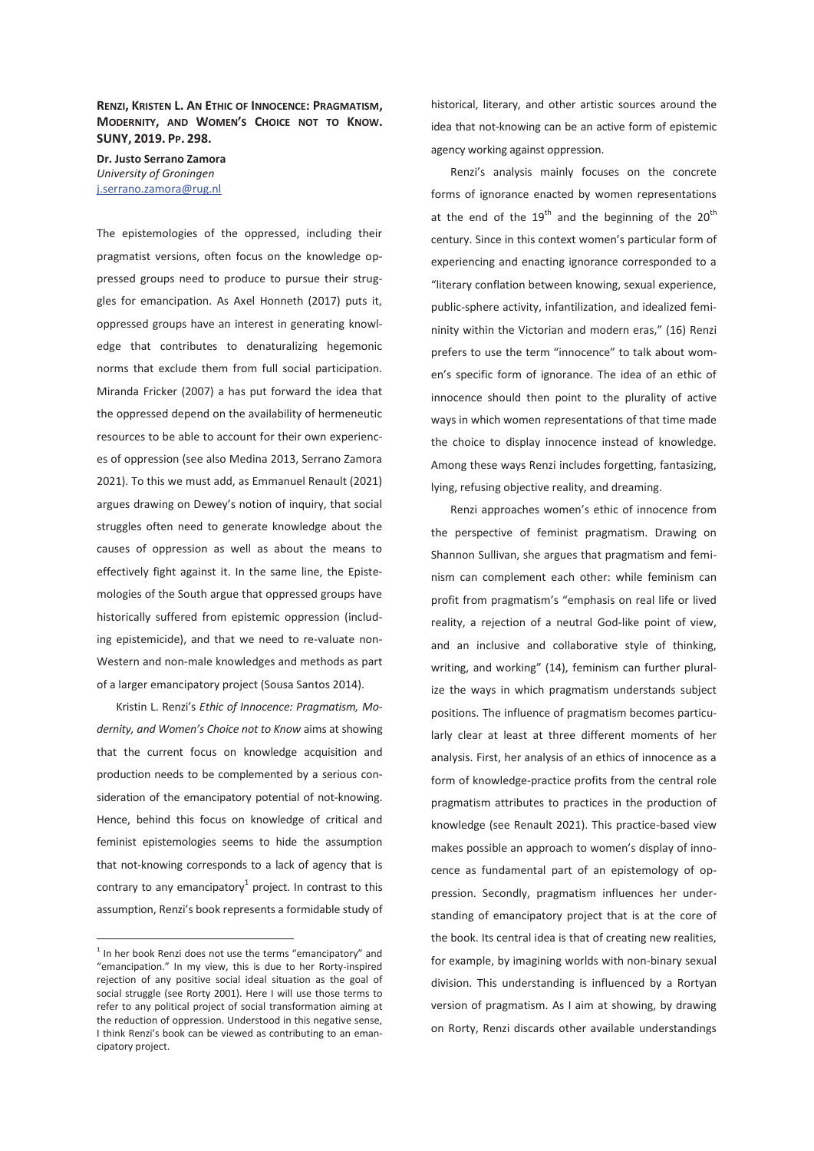### **RENZI, KRISTEN L. AN ETHIC OF INNOCENCE: PRAGMATISM, MODERNITY, AND WOMEN'S CHOICE NOT TO KNOW. SUNY, 2019. PP. 298.**

**Dr. Justo Serrano Zamora**  *University of Groningen*  j.serrano.zamora@rug.nl

The epistemologies of the oppressed, including their pragmatist versions, often focus on the knowledge oppressed groups need to produce to pursue their struggles for emancipation. As Axel Honneth (2017) puts it, oppressed groups have an interest in generating knowledge that contributes to denaturalizing hegemonic norms that exclude them from full social participation. Miranda Fricker (2007) a has put forward the idea that the oppressed depend on the availability of hermeneutic resources to be able to account for their own experiences of oppression (see also Medina 2013, Serrano Zamora 2021). To this we must add, as Emmanuel Renault (2021) argues drawing on Dewey's notion of inquiry, that social struggles often need to generate knowledge about the causes of oppression as well as about the means to effectively fight against it. In the same line, the Epistemologies of the South argue that oppressed groups have historically suffered from epistemic oppression (including epistemicide), and that we need to re-valuate non-Western and non-male knowledges and methods as part of a larger emancipatory project (Sousa Santos 2014).

Kristin L. Renzi's *Ethic of Innocence: Pragmatism, Modernity, and Women's Choice not to Know* aims at showing that the current focus on knowledge acquisition and production needs to be complemented by a serious consideration of the emancipatory potential of not-knowing. Hence, behind this focus on knowledge of critical and feminist epistemologies seems to hide the assumption that not-knowing corresponds to a lack of agency that is contrary to any emancipatory $^1$  project. In contrast to this assumption, Renzi's book represents a formidable study of

-

historical, literary, and other artistic sources around the idea that not-knowing can be an active form of epistemic agency working against oppression.

Renzi's analysis mainly focuses on the concrete forms of ignorance enacted by women representations at the end of the  $19<sup>th</sup>$  and the beginning of the  $20<sup>th</sup>$ century. Since in this context women's particular form of experiencing and enacting ignorance corresponded to a "literary conflation between knowing, sexual experience, public-sphere activity, infantilization, and idealized femininity within the Victorian and modern eras," (16) Renzi prefers to use the term "innocence" to talk about women's specific form of ignorance. The idea of an ethic of innocence should then point to the plurality of active ways in which women representations of that time made the choice to display innocence instead of knowledge. Among these ways Renzi includes forgetting, fantasizing, lying, refusing objective reality, and dreaming.

Renzi approaches women's ethic of innocence from the perspective of feminist pragmatism. Drawing on Shannon Sullivan, she argues that pragmatism and feminism can complement each other: while feminism can profit from pragmatism's "emphasis on real life or lived reality, a rejection of a neutral God-like point of view, and an inclusive and collaborative style of thinking, writing, and working" (14), feminism can further pluralize the ways in which pragmatism understands subject positions. The influence of pragmatism becomes particularly clear at least at three different moments of her analysis. First, her analysis of an ethics of innocence as a form of knowledge-practice profits from the central role pragmatism attributes to practices in the production of knowledge (see Renault 2021). This practice-based view makes possible an approach to women's display of innocence as fundamental part of an epistemology of oppression. Secondly, pragmatism influences her understanding of emancipatory project that is at the core of the book. Its central idea is that of creating new realities, for example, by imagining worlds with non-binary sexual division. This understanding is influenced by a Rortyan version of pragmatism. As I aim at showing, by drawing on Rorty, Renzi discards other available understandings

 $1$  In her book Renzi does not use the terms "emancipatory" and "emancipation." In my view, this is due to her Rorty-inspired rejection of any positive social ideal situation as the goal of social struggle (see Rorty 2001). Here I will use those terms to refer to any political project of social transformation aiming at the reduction of oppression. Understood in this negative sense, I think Renzi's book can be viewed as contributing to an emancipatory project.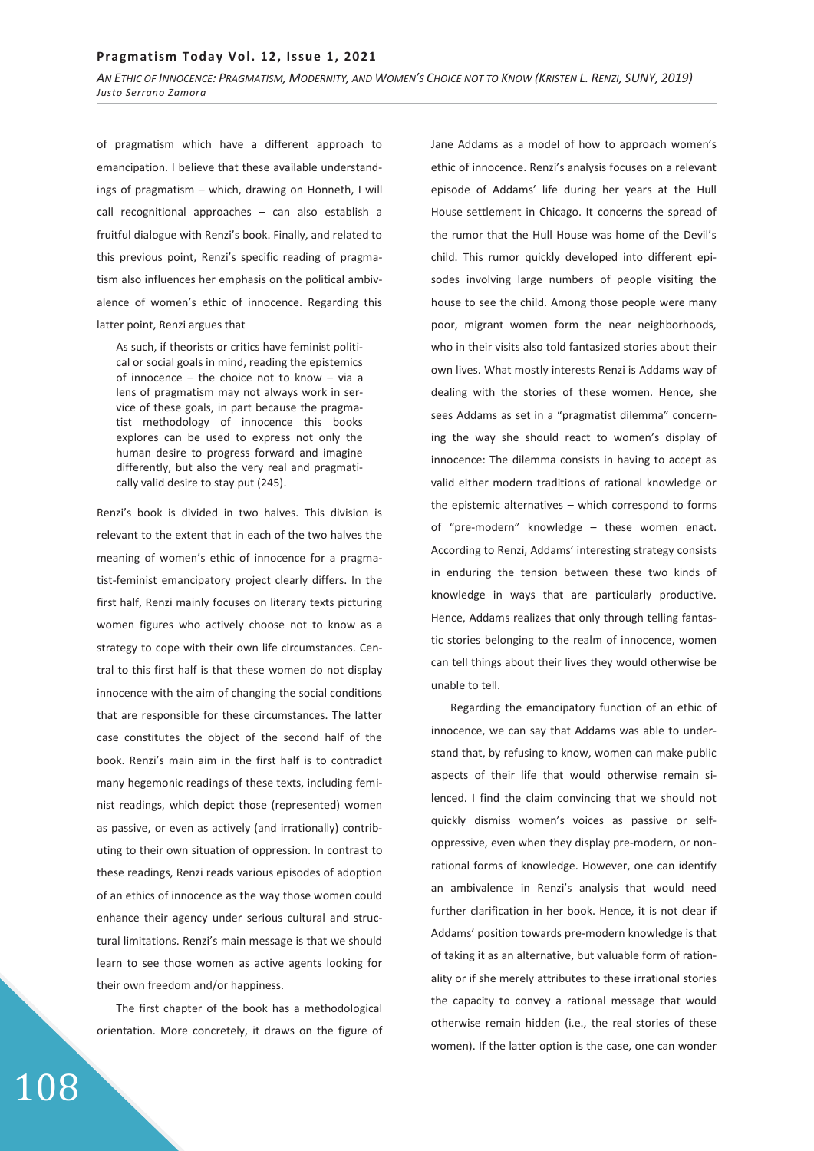of pragmatism which have a different approach to emancipation. I believe that these available understandings of pragmatism – which, drawing on Honneth, I will call recognitional approaches – can also establish a fruitful dialogue with Renzi's book. Finally, and related to this previous point, Renzi's specific reading of pragmatism also influences her emphasis on the political ambivalence of women's ethic of innocence. Regarding this latter point, Renzi argues that

As such, if theorists or critics have feminist political or social goals in mind, reading the epistemics of innocence – the choice not to know – via a lens of pragmatism may not always work in service of these goals, in part because the pragmatist methodology of innocence this books explores can be used to express not only the human desire to progress forward and imagine differently, but also the very real and pragmatically valid desire to stay put (245).

Renzi's book is divided in two halves. This division is relevant to the extent that in each of the two halves the meaning of women's ethic of innocence for a pragmatist-feminist emancipatory project clearly differs. In the first half, Renzi mainly focuses on literary texts picturing women figures who actively choose not to know as a strategy to cope with their own life circumstances. Central to this first half is that these women do not display innocence with the aim of changing the social conditions that are responsible for these circumstances. The latter case constitutes the object of the second half of the book. Renzi's main aim in the first half is to contradict many hegemonic readings of these texts, including feminist readings, which depict those (represented) women as passive, or even as actively (and irrationally) contributing to their own situation of oppression. In contrast to these readings, Renzi reads various episodes of adoption of an ethics of innocence as the way those women could enhance their agency under serious cultural and structural limitations. Renzi's main message is that we should learn to see those women as active agents looking for their own freedom and/or happiness.

The first chapter of the book has a methodological orientation. More concretely, it draws on the figure of Jane Addams as a model of how to approach women's ethic of innocence. Renzi's analysis focuses on a relevant episode of Addams' life during her years at the Hull House settlement in Chicago. It concerns the spread of the rumor that the Hull House was home of the Devil's child. This rumor quickly developed into different episodes involving large numbers of people visiting the house to see the child. Among those people were many poor, migrant women form the near neighborhoods, who in their visits also told fantasized stories about their own lives. What mostly interests Renzi is Addams way of dealing with the stories of these women. Hence, she sees Addams as set in a "pragmatist dilemma" concerning the way she should react to women's display of innocence: The dilemma consists in having to accept as valid either modern traditions of rational knowledge or the epistemic alternatives – which correspond to forms of "pre-modern" knowledge – these women enact. According to Renzi, Addams' interesting strategy consists in enduring the tension between these two kinds of knowledge in ways that are particularly productive. Hence, Addams realizes that only through telling fantastic stories belonging to the realm of innocence, women can tell things about their lives they would otherwise be unable to tell.

Regarding the emancipatory function of an ethic of innocence, we can say that Addams was able to understand that, by refusing to know, women can make public aspects of their life that would otherwise remain silenced. I find the claim convincing that we should not quickly dismiss women's voices as passive or selfoppressive, even when they display pre-modern, or nonrational forms of knowledge. However, one can identify an ambivalence in Renzi's analysis that would need further clarification in her book. Hence, it is not clear if Addams' position towards pre-modern knowledge is that of taking it as an alternative, but valuable form of rationality or if she merely attributes to these irrational stories the capacity to convey a rational message that would otherwise remain hidden (i.e., the real stories of these women). If the latter option is the case, one can wonder

# ͳͲͺ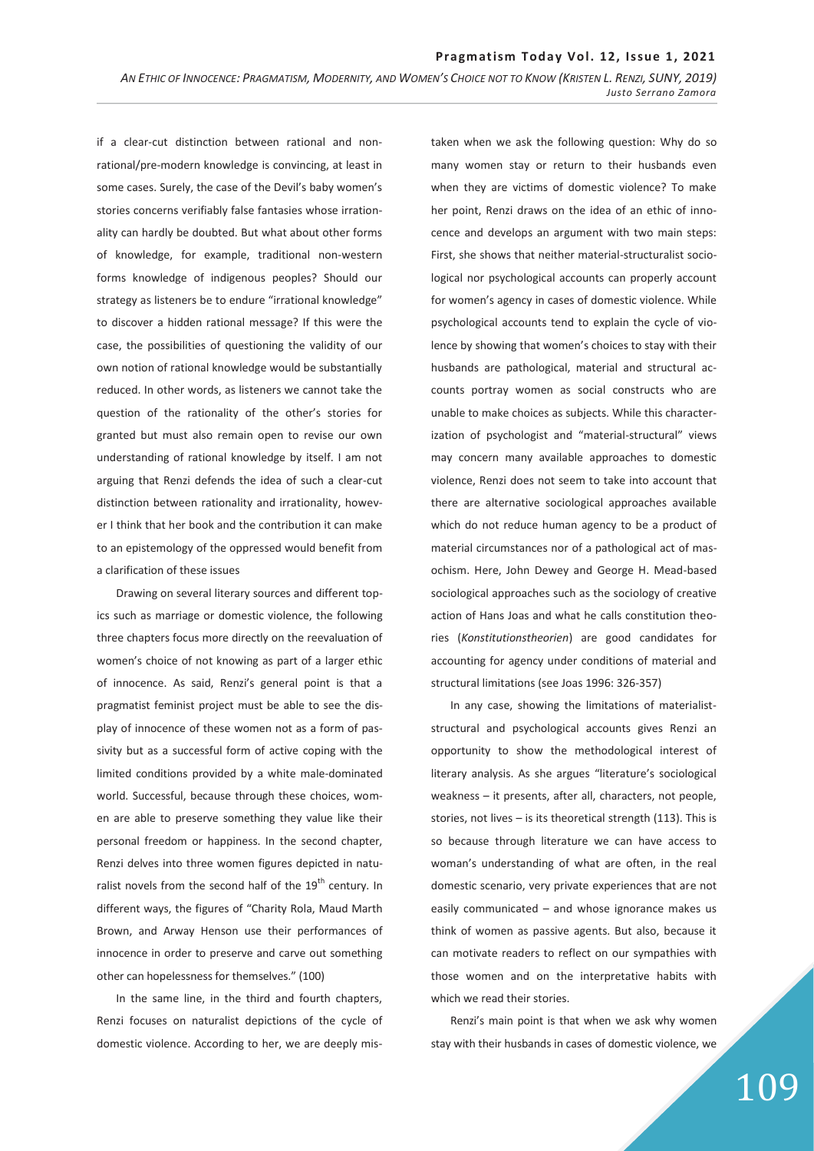if a clear-cut distinction between rational and nonrational/pre-modern knowledge is convincing, at least in some cases. Surely, the case of the Devil's baby women's stories concerns verifiably false fantasies whose irrationality can hardly be doubted. But what about other forms of knowledge, for example, traditional non-western forms knowledge of indigenous peoples? Should our strategy as listeners be to endure "irrational knowledge" to discover a hidden rational message? If this were the case, the possibilities of questioning the validity of our own notion of rational knowledge would be substantially reduced. In other words, as listeners we cannot take the question of the rationality of the other's stories for granted but must also remain open to revise our own understanding of rational knowledge by itself. I am not arguing that Renzi defends the idea of such a clear-cut distinction between rationality and irrationality, however I think that her book and the contribution it can make to an epistemology of the oppressed would benefit from a clarification of these issues

Drawing on several literary sources and different topics such as marriage or domestic violence, the following three chapters focus more directly on the reevaluation of women's choice of not knowing as part of a larger ethic of innocence. As said, Renzi's general point is that a pragmatist feminist project must be able to see the display of innocence of these women not as a form of passivity but as a successful form of active coping with the limited conditions provided by a white male-dominated world. Successful, because through these choices, women are able to preserve something they value like their personal freedom or happiness. In the second chapter, Renzi delves into three women figures depicted in naturalist novels from the second half of the  $19<sup>th</sup>$  century. In different ways, the figures of "Charity Rola, Maud Marth Brown, and Arway Henson use their performances of innocence in order to preserve and carve out something other can hopelessness for themselves." (100)

In the same line, in the third and fourth chapters, Renzi focuses on naturalist depictions of the cycle of domestic violence. According to her, we are deeply mistaken when we ask the following question: Why do so many women stay or return to their husbands even when they are victims of domestic violence? To make her point, Renzi draws on the idea of an ethic of innocence and develops an argument with two main steps: First, she shows that neither material-structuralist sociological nor psychological accounts can properly account for women's agency in cases of domestic violence. While psychological accounts tend to explain the cycle of violence by showing that women's choices to stay with their husbands are pathological, material and structural accounts portray women as social constructs who are unable to make choices as subjects. While this characterization of psychologist and "material-structural" views may concern many available approaches to domestic violence, Renzi does not seem to take into account that there are alternative sociological approaches available which do not reduce human agency to be a product of material circumstances nor of a pathological act of masochism. Here, John Dewey and George H. Mead-based sociological approaches such as the sociology of creative action of Hans Joas and what he calls constitution theories (*Konstitutionstheorien*) are good candidates for accounting for agency under conditions of material and structural limitations (see Joas 1996: 326-357)

In any case, showing the limitations of materialiststructural and psychological accounts gives Renzi an opportunity to show the methodological interest of literary analysis. As she argues "literature's sociological weakness – it presents, after all, characters, not people, stories, not lives – is its theoretical strength (113). This is so because through literature we can have access to woman's understanding of what are often, in the real domestic scenario, very private experiences that are not easily communicated – and whose ignorance makes us think of women as passive agents. But also, because it can motivate readers to reflect on our sympathies with those women and on the interpretative habits with which we read their stories.

Renzi's main point is that when we ask why women stay with their husbands in cases of domestic violence, we

# 109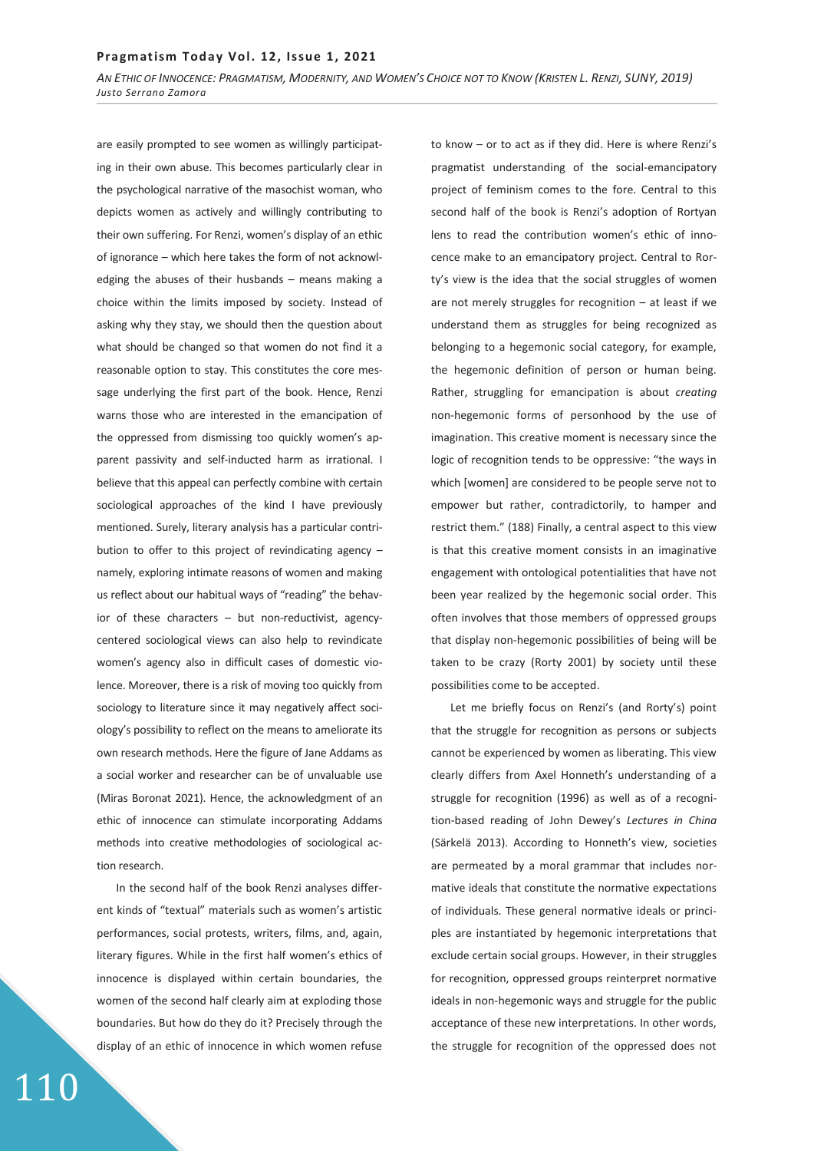are easily prompted to see women as willingly participating in their own abuse. This becomes particularly clear in the psychological narrative of the masochist woman, who depicts women as actively and willingly contributing to their own suffering. For Renzi, women's display of an ethic of ignorance – which here takes the form of not acknowledging the abuses of their husbands – means making a choice within the limits imposed by society. Instead of asking why they stay, we should then the question about what should be changed so that women do not find it a reasonable option to stay. This constitutes the core message underlying the first part of the book. Hence, Renzi warns those who are interested in the emancipation of the oppressed from dismissing too quickly women's apparent passivity and self-inducted harm as irrational. I believe that this appeal can perfectly combine with certain sociological approaches of the kind I have previously mentioned. Surely, literary analysis has a particular contribution to offer to this project of revindicating agency – namely, exploring intimate reasons of women and making us reflect about our habitual ways of "reading" the behavior of these characters – but non-reductivist, agencycentered sociological views can also help to revindicate women's agency also in difficult cases of domestic violence. Moreover, there is a risk of moving too quickly from sociology to literature since it may negatively affect sociology's possibility to reflect on the means to ameliorate its own research methods. Here the figure of Jane Addams as a social worker and researcher can be of unvaluable use (Miras Boronat 2021). Hence, the acknowledgment of an ethic of innocence can stimulate incorporating Addams methods into creative methodologies of sociological action research.

In the second half of the book Renzi analyses different kinds of "textual" materials such as women's artistic performances, social protests, writers, films, and, again, literary figures. While in the first half women's ethics of innocence is displayed within certain boundaries, the women of the second half clearly aim at exploding those boundaries. But how do they do it? Precisely through the display of an ethic of innocence in which women refuse

to know – or to act as if they did. Here is where Renzi's pragmatist understanding of the social-emancipatory project of feminism comes to the fore. Central to this second half of the book is Renzi's adoption of Rortyan lens to read the contribution women's ethic of innocence make to an emancipatory project. Central to Rorty's view is the idea that the social struggles of women are not merely struggles for recognition – at least if we understand them as struggles for being recognized as belonging to a hegemonic social category, for example, the hegemonic definition of person or human being. Rather, struggling for emancipation is about *creating* non-hegemonic forms of personhood by the use of imagination. This creative moment is necessary since the logic of recognition tends to be oppressive: "the ways in which [women] are considered to be people serve not to empower but rather, contradictorily, to hamper and restrict them." (188) Finally, a central aspect to this view is that this creative moment consists in an imaginative engagement with ontological potentialities that have not been year realized by the hegemonic social order. This often involves that those members of oppressed groups that display non-hegemonic possibilities of being will be taken to be crazy (Rorty 2001) by society until these possibilities come to be accepted.

Let me briefly focus on Renzi's (and Rorty's) point that the struggle for recognition as persons or subjects cannot be experienced by women as liberating. This view clearly differs from Axel Honneth's understanding of a struggle for recognition (1996) as well as of a recognition-based reading of John Dewey's *Lectures in China* (Särkelä 2013). According to Honneth's view, societies are permeated by a moral grammar that includes normative ideals that constitute the normative expectations of individuals. These general normative ideals or principles are instantiated by hegemonic interpretations that exclude certain social groups. However, in their struggles for recognition, oppressed groups reinterpret normative ideals in non-hegemonic ways and struggle for the public acceptance of these new interpretations. In other words, the struggle for recognition of the oppressed does not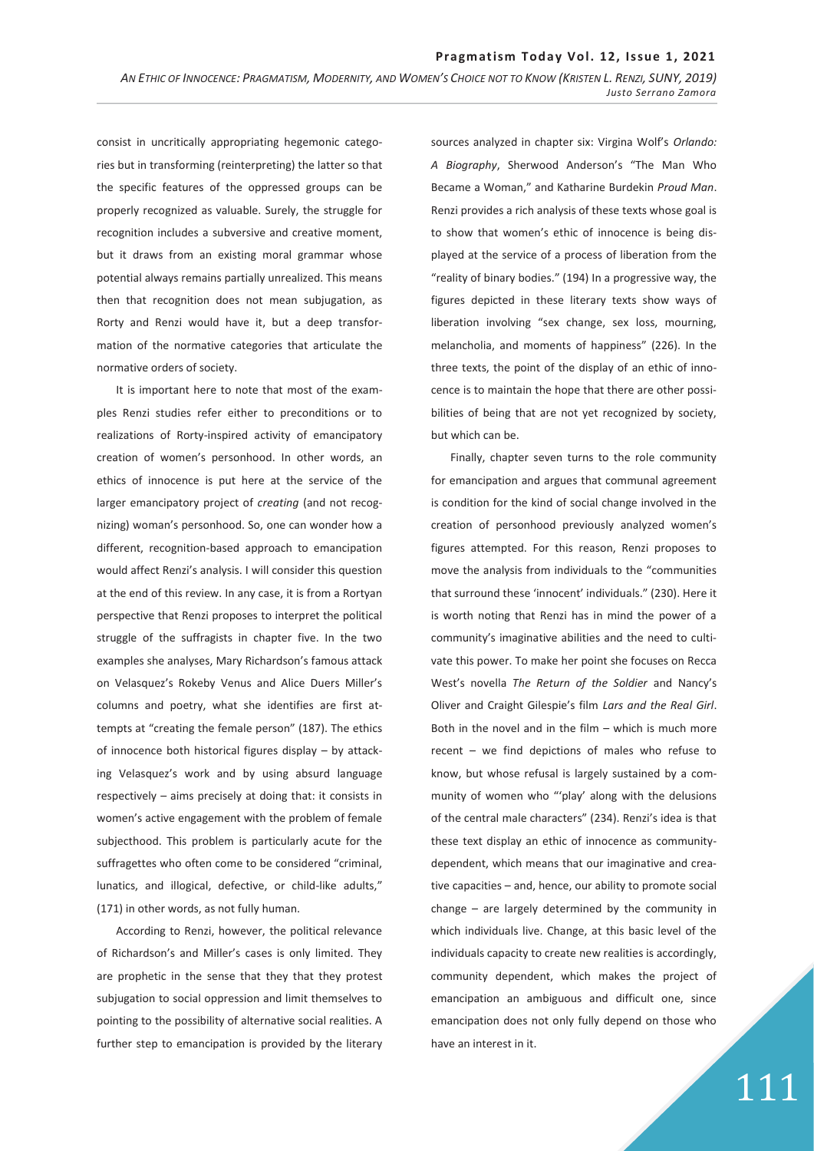consist in uncritically appropriating hegemonic categories but in transforming (reinterpreting) the latter so that the specific features of the oppressed groups can be properly recognized as valuable. Surely, the struggle for recognition includes a subversive and creative moment, but it draws from an existing moral grammar whose potential always remains partially unrealized. This means then that recognition does not mean subjugation, as Rorty and Renzi would have it, but a deep transformation of the normative categories that articulate the normative orders of society.

It is important here to note that most of the examples Renzi studies refer either to preconditions or to realizations of Rorty-inspired activity of emancipatory creation of women's personhood. In other words, an ethics of innocence is put here at the service of the larger emancipatory project of *creating* (and not recognizing) woman's personhood. So, one can wonder how a different, recognition-based approach to emancipation would affect Renzi's analysis. I will consider this question at the end of this review. In any case, it is from a Rortyan perspective that Renzi proposes to interpret the political struggle of the suffragists in chapter five. In the two examples she analyses, Mary Richardson's famous attack on Velasquez's Rokeby Venus and Alice Duers Miller's columns and poetry, what she identifies are first attempts at "creating the female person" (187). The ethics of innocence both historical figures display – by attacking Velasquez's work and by using absurd language respectively – aims precisely at doing that: it consists in women's active engagement with the problem of female subjecthood. This problem is particularly acute for the suffragettes who often come to be considered "criminal, lunatics, and illogical, defective, or child-like adults," (171) in other words, as not fully human.

According to Renzi, however, the political relevance of Richardson's and Miller's cases is only limited. They are prophetic in the sense that they that they protest subjugation to social oppression and limit themselves to pointing to the possibility of alternative social realities. A further step to emancipation is provided by the literary

sources analyzed in chapter six: Virgina Wolf's *Orlando: A Biography*, Sherwood Anderson's "The Man Who Became a Woman," and Katharine Burdekin *Proud Man*. Renzi provides a rich analysis of these texts whose goal is to show that women's ethic of innocence is being displayed at the service of a process of liberation from the "reality of binary bodies." (194) In a progressive way, the figures depicted in these literary texts show ways of liberation involving "sex change, sex loss, mourning, melancholia, and moments of happiness" (226). In the three texts, the point of the display of an ethic of innocence is to maintain the hope that there are other possibilities of being that are not yet recognized by society, but which can be.

Finally, chapter seven turns to the role community for emancipation and argues that communal agreement is condition for the kind of social change involved in the creation of personhood previously analyzed women's figures attempted. For this reason, Renzi proposes to move the analysis from individuals to the "communities that surround these 'innocent' individuals." (230). Here it is worth noting that Renzi has in mind the power of a community's imaginative abilities and the need to cultivate this power. To make her point she focuses on Recca West's novella *The Return of the Soldier* and Nancy's Oliver and Craight Gilespie's film *Lars and the Real Girl*. Both in the novel and in the film – which is much more recent – we find depictions of males who refuse to know, but whose refusal is largely sustained by a community of women who "'play' along with the delusions of the central male characters" (234). Renzi's idea is that these text display an ethic of innocence as communitydependent, which means that our imaginative and creative capacities – and, hence, our ability to promote social change – are largely determined by the community in which individuals live. Change, at this basic level of the individuals capacity to create new realities is accordingly, community dependent, which makes the project of emancipation an ambiguous and difficult one, since emancipation does not only fully depend on those who have an interest in it.

## 111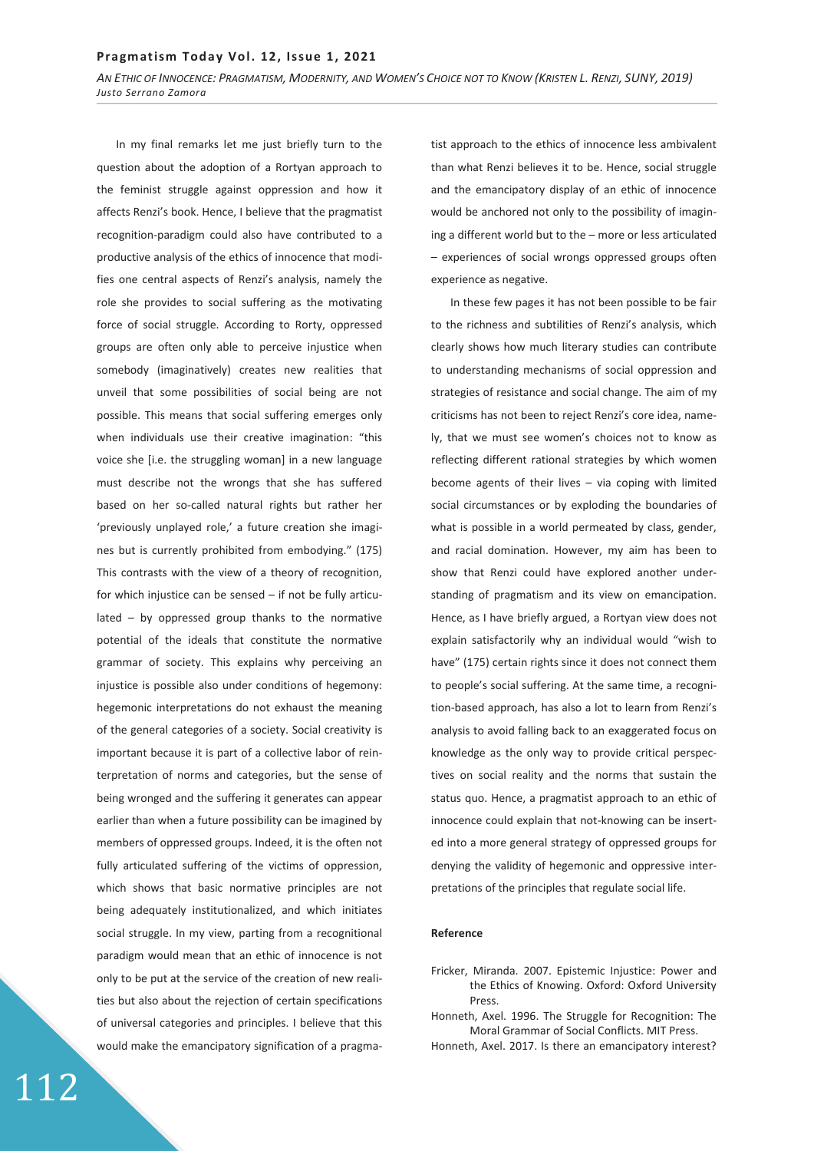### **Pragmatism Today Vol. 12, Issue 1, 2021**

*AN ETHIC OF INNOCENCE: PRAGMATISM, MODERNITY, AND WOMEN'S CHOICE NOT TO KNOW (KRISTEN L. RENZI, SUNY, 2019) Justo Serrano Zamora*

In my final remarks let me just briefly turn to the question about the adoption of a Rortyan approach to the feminist struggle against oppression and how it affects Renzi's book. Hence, I believe that the pragmatist recognition-paradigm could also have contributed to a productive analysis of the ethics of innocence that modifies one central aspects of Renzi's analysis, namely the role she provides to social suffering as the motivating force of social struggle. According to Rorty, oppressed groups are often only able to perceive injustice when somebody (imaginatively) creates new realities that unveil that some possibilities of social being are not possible. This means that social suffering emerges only when individuals use their creative imagination: "this voice she [i.e. the struggling woman] in a new language must describe not the wrongs that she has suffered based on her so-called natural rights but rather her 'previously unplayed role,' a future creation she imagines but is currently prohibited from embodying." (175) This contrasts with the view of a theory of recognition, for which injustice can be sensed – if not be fully articulated – by oppressed group thanks to the normative potential of the ideals that constitute the normative grammar of society. This explains why perceiving an injustice is possible also under conditions of hegemony: hegemonic interpretations do not exhaust the meaning of the general categories of a society. Social creativity is important because it is part of a collective labor of reinterpretation of norms and categories, but the sense of being wronged and the suffering it generates can appear earlier than when a future possibility can be imagined by members of oppressed groups. Indeed, it is the often not fully articulated suffering of the victims of oppression, which shows that basic normative principles are not being adequately institutionalized, and which initiates social struggle. In my view, parting from a recognitional paradigm would mean that an ethic of innocence is not only to be put at the service of the creation of new realities but also about the rejection of certain specifications of universal categories and principles. I believe that this would make the emancipatory signification of a pragma-

.12

tist approach to the ethics of innocence less ambivalent than what Renzi believes it to be. Hence, social struggle and the emancipatory display of an ethic of innocence would be anchored not only to the possibility of imagining a different world but to the – more or less articulated – experiences of social wrongs oppressed groups often experience as negative.

In these few pages it has not been possible to be fair to the richness and subtilities of Renzi's analysis, which clearly shows how much literary studies can contribute to understanding mechanisms of social oppression and strategies of resistance and social change. The aim of my criticisms has not been to reject Renzi's core idea, namely, that we must see women's choices not to know as reflecting different rational strategies by which women become agents of their lives – via coping with limited social circumstances or by exploding the boundaries of what is possible in a world permeated by class, gender, and racial domination. However, my aim has been to show that Renzi could have explored another understanding of pragmatism and its view on emancipation. Hence, as I have briefly argued, a Rortyan view does not explain satisfactorily why an individual would "wish to have" (175) certain rights since it does not connect them to people's social suffering. At the same time, a recognition-based approach, has also a lot to learn from Renzi's analysis to avoid falling back to an exaggerated focus on knowledge as the only way to provide critical perspectives on social reality and the norms that sustain the status quo. Hence, a pragmatist approach to an ethic of innocence could explain that not-knowing can be inserted into a more general strategy of oppressed groups for denying the validity of hegemonic and oppressive interpretations of the principles that regulate social life.

### **Reference**

- Fricker, Miranda. 2007. Epistemic Injustice: Power and the Ethics of Knowing. Oxford: Oxford University Press.
- Honneth, Axel. 1996. The Struggle for Recognition: The Moral Grammar of Social Conflicts. MIT Press.
- Honneth, Axel. 2017. Is there an emancipatory interest?